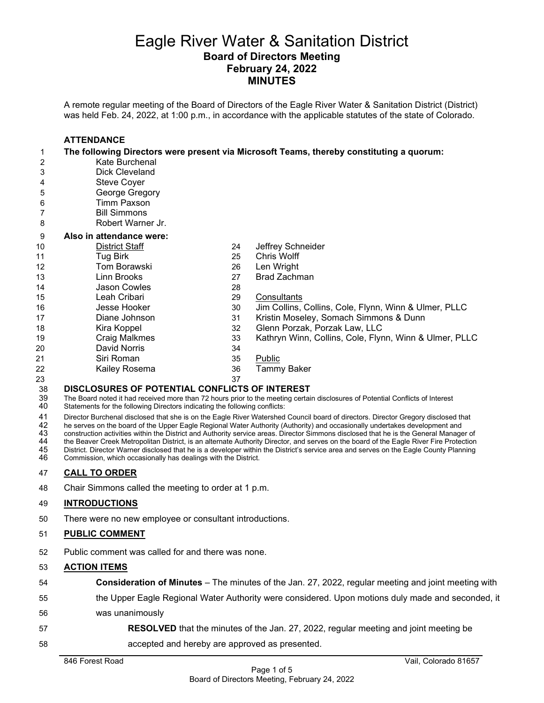## Eagle River Water & Sanitation District **Board of Directors Meeting February 24, 2022 MINUTES**

A remote regular meeting of the Board of Directors of the Eagle River Water & Sanitation District (District) was held Feb. 24, 2022, at 1:00 p.m., in accordance with the applicable statutes of the state of Colorado.

|    | <b>ATTENDANCE</b>        |    |                                                                                          |
|----|--------------------------|----|------------------------------------------------------------------------------------------|
| 1. |                          |    | The following Directors were present via Microsoft Teams, thereby constituting a quorum: |
| 2  | Kate Burchenal           |    |                                                                                          |
| 3  | Dick Cleveland           |    |                                                                                          |
| 4  | <b>Steve Coyer</b>       |    |                                                                                          |
| 5  | George Gregory           |    |                                                                                          |
| 6  | <b>Timm Paxson</b>       |    |                                                                                          |
| 7  | <b>Bill Simmons</b>      |    |                                                                                          |
| 8  | Robert Warner Jr.        |    |                                                                                          |
| 9  | Also in attendance were: |    |                                                                                          |
| 10 | <b>District Staff</b>    | 24 | Jeffrey Schneider                                                                        |
| 11 | Tug Birk                 | 25 | Chris Wolff                                                                              |
| 12 | Tom Borawski             | 26 | Len Wright                                                                               |
| 13 | Linn Brooks              | 27 | <b>Brad Zachman</b>                                                                      |
| 14 | <b>Jason Cowles</b>      | 28 |                                                                                          |
| 15 | Leah Cribari             | 29 | Consultants                                                                              |
| 16 | Jesse Hooker             | 30 | Jim Collins, Collins, Cole, Flynn, Winn & Ulmer, PLLC                                    |
| 17 | Diane Johnson            | 31 | Kristin Moseley, Somach Simmons & Dunn                                                   |
| 18 | Kira Koppel              | 32 | Glenn Porzak, Porzak Law, LLC                                                            |
| 19 | <b>Craig Malkmes</b>     | 33 | Kathryn Winn, Collins, Cole, Flynn, Winn & Ulmer, PLLC                                   |
| 20 | David Norris             | 34 |                                                                                          |
| 21 | Siri Roman               | 35 | Public                                                                                   |
| 22 | Kailey Rosema            | 36 | Tammy Baker                                                                              |
| 23 |                          | 37 |                                                                                          |

**DISCLOSURES OF POTENTIAL CONFLICTS OF INTEREST**<br>39 The Board noted it had received more than 72 hours prior to the meeting certai<br>40 Statements for the following Directors indicating the following conflicts: The Board noted it had received more than 72 hours prior to the meeting certain disclosures of Potential Conflicts of Interest Statements for the following Directors indicating the following conflicts:

41 Director Burchenal disclosed that she is on the Eagle River Watershed Council board of directors. Director Gregory disclosed that<br>42 he serves on the board of the Upper Eagle Regional Water Authority (Authority) and occ

42 he serves on the board of the Upper Eagle Regional Water Authority (Authority) and occasionally undertakes development and<br>43 construction activities within the District and Authority service areas. Director Simmons dis

43 construction activities within the District and Authority service areas. Director Simmons disclosed that he is the General Manager of<br>44 the Beaver Creek Metropolitan District, is an alternate Authority Director, and se

44 the Beaver Creek Metropolitan District, is an alternate Authority Director, and serves on the board of the Eagle River Fire Protection<br>45 District. Director Warner disclosed that he is a developer within the District's District. Director Warner disclosed that he is a developer within the District's service area and serves on the Eagle County Planning

Commission, which occasionally has dealings with the District.

### **CALL TO ORDER**

Chair Simmons called the meeting to order at 1 p.m.

### **INTRODUCTIONS**

There were no new employee or consultant introductions.

### **PUBLIC COMMENT**

Public comment was called for and there was none.

#### **ACTION ITEMS**

- **Consideration of Minutes**  The minutes of the Jan. 27, 2022, regular meeting and joint meeting with
- the Upper Eagle Regional Water Authority were considered. Upon motions duly made and seconded, it was unanimously
- **RESOLVED** that the minutes of the Jan. 27, 2022, regular meeting and joint meeting be
- accepted and hereby are approved as presented.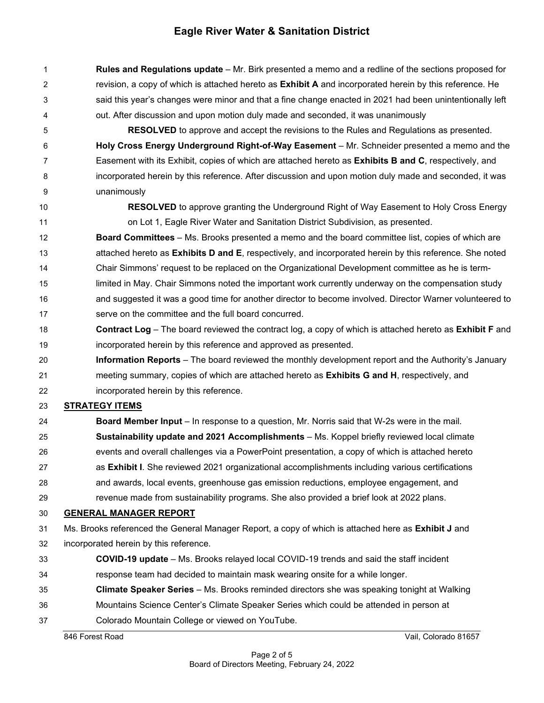**Rules and Regulations update** – Mr. Birk presented a memo and a redline of the sections proposed for revision, a copy of which is attached hereto as **Exhibit A** and incorporated herein by this reference. He said this year's changes were minor and that a fine change enacted in 2021 had been unintentionally left out. After discussion and upon motion duly made and seconded, it was unanimously

 **RESOLVED** to approve and accept the revisions to the Rules and Regulations as presented. **Holy Cross Energy Underground Right-of-Way Easement** – Mr. Schneider presented a memo and the Easement with its Exhibit, copies of which are attached hereto as **Exhibits B and C**, respectively, and incorporated herein by this reference. After discussion and upon motion duly made and seconded, it was unanimously

 **RESOLVED** to approve granting the Underground Right of Way Easement to Holy Cross Energy on Lot 1, Eagle River Water and Sanitation District Subdivision, as presented.

 **Board Committees** – Ms. Brooks presented a memo and the board committee list, copies of which are attached hereto as **Exhibits D and E**, respectively, and incorporated herein by this reference. She noted Chair Simmons' request to be replaced on the Organizational Development committee as he is term-15 limited in May. Chair Simmons noted the important work currently underway on the compensation study and suggested it was a good time for another director to become involved. Director Warner volunteered to serve on the committee and the full board concurred.

- **Contract Log** The board reviewed the contract log, a copy of which is attached hereto as **Exhibit F** and incorporated herein by this reference and approved as presented.
- **Information Reports**  The board reviewed the monthly development report and the Authority's January meeting summary, copies of which are attached hereto as **Exhibits G and H**, respectively, and incorporated herein by this reference.

## **STRATEGY ITEMS**

- **Board Member Input**  In response to a question, Mr. Norris said that W-2s were in the mail. **Sustainability update and 2021 Accomplishments** – Ms. Koppel briefly reviewed local climate events and overall challenges via a PowerPoint presentation, a copy of which is attached hereto as **Exhibit I**. She reviewed 2021 organizational accomplishments including various certifications and awards, local events, greenhouse gas emission reductions, employee engagement, and
- revenue made from sustainability programs. She also provided a brief look at 2022 plans.

## **GENERAL MANAGER REPORT**

- Ms. Brooks referenced the General Manager Report, a copy of which is attached here as **Exhibit J** and
- incorporated herein by this reference.
- **COVID-19 update**  Ms. Brooks relayed local COVID-19 trends and said the staff incident response team had decided to maintain mask wearing onsite for a while longer.
- **Climate Speaker Series**  Ms. Brooks reminded directors she was speaking tonight at Walking
- Mountains Science Center's Climate Speaker Series which could be attended in person at
- Colorado Mountain College or viewed on YouTube.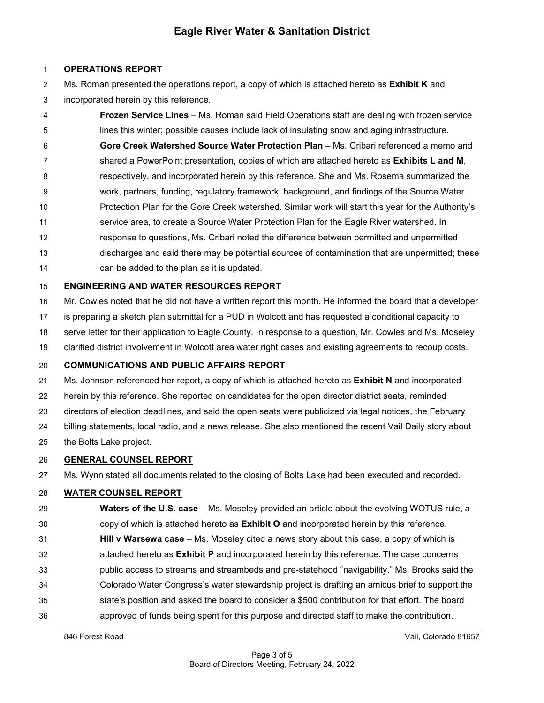## **OPERATIONS REPORT**

 Ms. Roman presented the operations report, a copy of which is attached hereto as **Exhibit K** and incorporated herein by this reference.

- **Frozen Service Lines**  Ms. Roman said Field Operations staff are dealing with frozen service lines this winter; possible causes include lack of insulating snow and aging infrastructure. **Gore Creek Watershed Source Water Protection Plan** – Ms. Cribari referenced a memo and shared a PowerPoint presentation, copies of which are attached hereto as **Exhibits L and M**, respectively, and incorporated herein by this reference. She and Ms. Rosema summarized the
- work, partners, funding, regulatory framework, background, and findings of the Source Water
- Protection Plan for the Gore Creek watershed. Similar work will start this year for the Authority's
- service area, to create a Source Water Protection Plan for the Eagle River watershed. In
- response to questions, Ms. Cribari noted the difference between permitted and unpermitted discharges and said there may be potential sources of contamination that are unpermitted; these
- can be added to the plan as it is updated.

## **ENGINEERING AND WATER RESOURCES REPORT**

- Mr. Cowles noted that he did not have a written report this month. He informed the board that a developer
- is preparing a sketch plan submittal for a PUD in Wolcott and has requested a conditional capacity to
- serve letter for their application to Eagle County. In response to a question, Mr. Cowles and Ms. Moseley
- clarified district involvement in Wolcott area water right cases and existing agreements to recoup costs.

## **COMMUNICATIONS AND PUBLIC AFFAIRS REPORT**

- Ms. Johnson referenced her report, a copy of which is attached hereto as **Exhibit N** and incorporated
- herein by this reference. She reported on candidates for the open director district seats, reminded
- directors of election deadlines, and said the open seats were publicized via legal notices, the February
- billing statements, local radio, and a news release. She also mentioned the recent Vail Daily story about
- the Bolts Lake project.

## **GENERAL COUNSEL REPORT**

Ms. Wynn stated all documents related to the closing of Bolts Lake had been executed and recorded.

## **WATER COUNSEL REPORT**

- **Waters of the U.S. case** Ms. Moseley provided an article about the evolving WOTUS rule, a copy of which is attached hereto as **Exhibit O** and incorporated herein by this reference.
- **Hill v Warsewa case** Ms. Moseley cited a news story about this case, a copy of which is
- attached hereto as **Exhibit P** and incorporated herein by this reference. The case concerns
- public access to streams and streambeds and pre-statehood "navigability." Ms. Brooks said the
- Colorado Water Congress's water stewardship project is drafting an amicus brief to support the
- state's position and asked the board to consider a \$500 contribution for that effort. The board
- approved of funds being spent for this purpose and directed staff to make the contribution.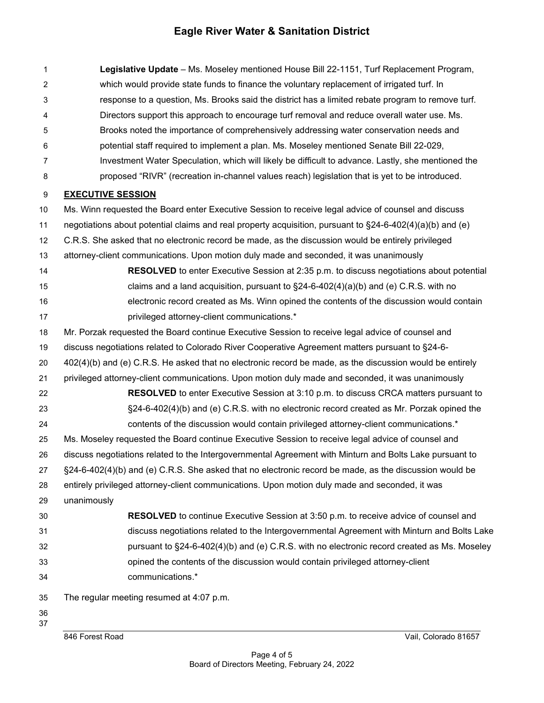| 1              | Legislative Update - Ms. Moseley mentioned House Bill 22-1151, Turf Replacement Program,                   |  |  |
|----------------|------------------------------------------------------------------------------------------------------------|--|--|
| 2              | which would provide state funds to finance the voluntary replacement of irrigated turf. In                 |  |  |
| 3              | response to a question, Ms. Brooks said the district has a limited rebate program to remove turf.          |  |  |
| 4              | Directors support this approach to encourage turf removal and reduce overall water use. Ms.                |  |  |
| 5              | Brooks noted the importance of comprehensively addressing water conservation needs and                     |  |  |
| 6              | potential staff required to implement a plan. Ms. Moseley mentioned Senate Bill 22-029,                    |  |  |
| $\overline{7}$ | Investment Water Speculation, which will likely be difficult to advance. Lastly, she mentioned the         |  |  |
| 8              | proposed "RIVR" (recreation in-channel values reach) legislation that is yet to be introduced.             |  |  |
| 9              | <b>EXECUTIVE SESSION</b>                                                                                   |  |  |
| 10             | Ms. Winn requested the Board enter Executive Session to receive legal advice of counsel and discuss        |  |  |
| 11             | negotiations about potential claims and real property acquisition, pursuant to §24-6-402(4)(a)(b) and (e)  |  |  |
| 12             | C.R.S. She asked that no electronic record be made, as the discussion would be entirely privileged         |  |  |
| 13             | attorney-client communications. Upon motion duly made and seconded, it was unanimously                     |  |  |
| 14             | <b>RESOLVED</b> to enter Executive Session at 2:35 p.m. to discuss negotiations about potential            |  |  |
| 15             | claims and a land acquisition, pursuant to $\S24-6-402(4)(a)(b)$ and (e) C.R.S. with no                    |  |  |
| 16             | electronic record created as Ms. Winn opined the contents of the discussion would contain                  |  |  |
| 17             | privileged attorney-client communications.*                                                                |  |  |
| 18             | Mr. Porzak requested the Board continue Executive Session to receive legal advice of counsel and           |  |  |
| 19             | discuss negotiations related to Colorado River Cooperative Agreement matters pursuant to §24-6-            |  |  |
| 20             | 402(4)(b) and (e) C.R.S. He asked that no electronic record be made, as the discussion would be entirely   |  |  |
| 21             | privileged attorney-client communications. Upon motion duly made and seconded, it was unanimously          |  |  |
| 22             | <b>RESOLVED</b> to enter Executive Session at 3:10 p.m. to discuss CRCA matters pursuant to                |  |  |
| 23             | §24-6-402(4)(b) and (e) C.R.S. with no electronic record created as Mr. Porzak opined the                  |  |  |
| 24             | contents of the discussion would contain privileged attorney-client communications.*                       |  |  |
| 25             | Ms. Moseley requested the Board continue Executive Session to receive legal advice of counsel and          |  |  |
| 26             | discuss negotiations related to the Intergovernmental Agreement with Minturn and Bolts Lake pursuant to    |  |  |
| 27             | $\S$ 24-6-402(4)(b) and (e) C.R.S. She asked that no electronic record be made, as the discussion would be |  |  |
| 28             | entirely privileged attorney-client communications. Upon motion duly made and seconded, it was             |  |  |
| 29             | unanimously                                                                                                |  |  |
| 30             | <b>RESOLVED</b> to continue Executive Session at 3:50 p.m. to receive advice of counsel and                |  |  |
| 31             | discuss negotiations related to the Intergovernmental Agreement with Minturn and Bolts Lake                |  |  |
| 32             | pursuant to §24-6-402(4)(b) and (e) C.R.S. with no electronic record created as Ms. Moseley                |  |  |
| 33             | opined the contents of the discussion would contain privileged attorney-client                             |  |  |
| 34             | communications.*                                                                                           |  |  |
| 35             | The regular meeting resumed at 4:07 p.m.                                                                   |  |  |
| 36             |                                                                                                            |  |  |
| 37             | 846 Forest Road<br>Vail, Colorado 81657                                                                    |  |  |